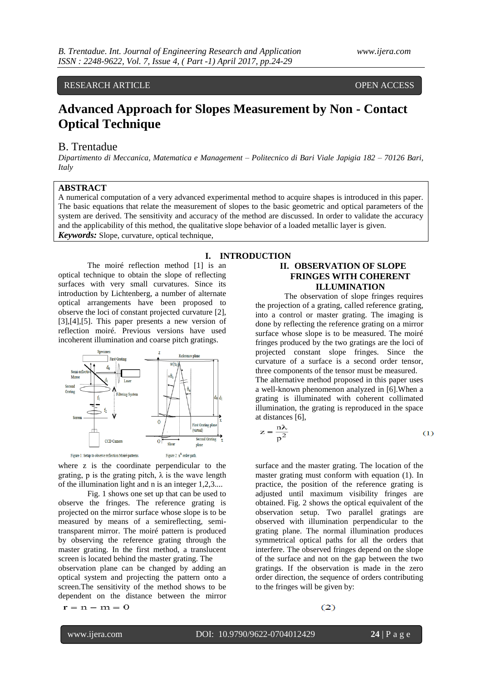RESEARCH ARTICLE **CONSERVERS** OPEN ACCESS

# **Advanced Approach for Slopes Measurement by Non - Contact Optical Technique**

# B. Trentadue

*Dipartimento di Meccanica, Matematica e Management – Politecnico di Bari Viale Japigia 182 – 70126 Bari, Italy*

### **ABSTRACT**

A numerical computation of a very advanced experimental method to acquire shapes is introduced in this paper. The basic equations that relate the measurement of slopes to the basic geometric and optical parameters of the system are derived. The sensitivity and accuracy of the method are discussed. In order to validate the accuracy and the applicability of this method, the qualitative slope behavior of a loaded metallic layer is given. *Keywords:* Slope, curvature, optical technique,

#### **I. INTRODUCTION**

The moiré reflection method [1] is an optical technique to obtain the slope of reflecting surfaces with very small curvatures. Since its introduction by Lichtenberg, a number of alternate optical arrangements have been proposed to observe the loci of constant projected curvature [2], [3],[4],[5]. This paper presents a new version of reflection moiré. Previous versions have used incoherent illumination and coarse pitch gratings.



where z is the coordinate perpendicular to the grating, p is the grating pitch,  $\lambda$  is the wave length of the illumination light and n is an integer 1,2,3....

Fig. 1 shows one set up that can be used to observe the fringes. The reference grating is projected on the mirror surface whose slope is to be measured by means of a semireflecting, semitransparent mirror. The moiré pattern is produced by observing the reference grating through the master grating. In the first method, a translucent screen is located behind the master grating. The observation plane can be changed by adding an

optical system and projecting the pattern onto a screen.The sensitivity of the method shows to be dependent on the distance between the mirror  $r = n - m = 0$ 

# **II. OBSERVATION OF SLOPE FRINGES WITH COHERENT ILLUMINATION**

The observation of slope fringes requires the projection of a grating, called reference grating, into a control or master grating. The imaging is done by reflecting the reference grating on a mirror surface whose slope is to be measured. The moiré fringes produced by the two gratings are the loci of projected constant slope fringes. Since the curvature of a surface is a second order tensor, three components of the tensor must be measured. The alternative method proposed in this paper uses a well-known phenomenon analyzed in [6].When a grating is illuminated with coherent collimated illumination, the grating is reproduced in the space at distances [6],

$$
z = \frac{n\lambda}{p^2}
$$
 (1)

surface and the master grating. The location of the master grating must conform with equation (1). In practice, the position of the reference grating is adjusted until maximum visibility fringes are obtained. Fig. 2 shows the optical equivalent of the observation setup. Two parallel gratings are observed with illumination perpendicular to the grating plane. The normal illumination produces symmetrical optical paths for all the orders that interfere. The observed fringes depend on the slope of the surface and not on the gap between the two gratings. If the observation is made in the zero order direction, the sequence of orders contributing to the fringes will be given by:

 $(2)$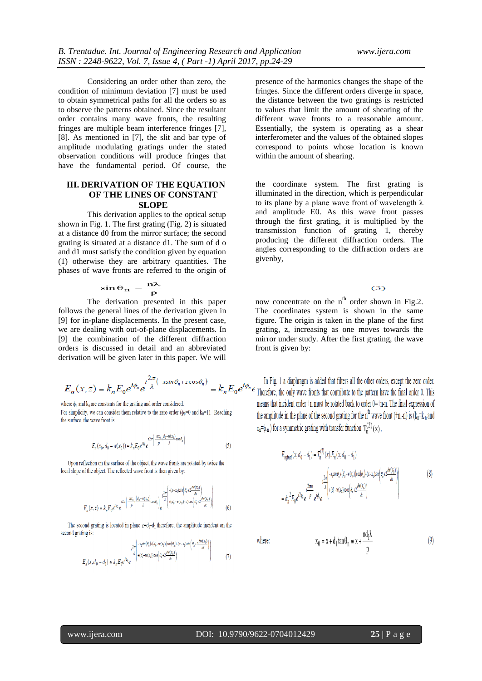Considering an order other than zero, the condition of minimum deviation [7] must be used to obtain symmetrical paths for all the orders so as to observe the patterns obtained. Since the resultant order contains many wave fronts, the resulting fringes are multiple beam interference fringes [7], [8]. As mentioned in [7], the slit and bar type of amplitude modulating gratings under the stated observation conditions will produce fringes that have the fundamental period. Of course, the

### **III. DERIVATION OF THE EQUATION OF THE LINES OF CONSTANT SLOPE**

This derivation applies to the optical setup shown in Fig. 1. The first grating (Fig. 2) is situated at a distance d0 from the mirror surface; the second grating is situated at a distance d1. The sum of d o and d1 must satisfy the condition given by equation (1) otherwise they are arbitrary quantities. The phases of wave fronts are referred to the origin of

$$
\sin \theta_n = \frac{n\lambda}{p}
$$

The derivation presented in this paper follows the general lines of the derivation given in [9] for in-plane displacements. In the present case, we are dealing with out-of-plane displacements. In [9] the combination of the different diffraction orders is discussed in detail and an abbreviated derivation will be given later in this paper. We will

$$
E_n(x,z)=k_n E_0 e^{i\phi_n} e^{i\frac{2\pi}{\lambda}(-x\sin\theta_n+z\cos\theta_n)}=k_n E_0 e^{i\theta_n}
$$

where  $\phi_n$  and  $k_n$  are constants for the grating and order considered.

For simplicity, we can consider them relative to the zero order ( $\phi_0 = 0$  and  $k_0 = 1$ ). Reaching the surface, the wave front is:

$$
E_n(x_0, d_0 - w(x_0)) \simeq k_n E_0 e^{i\phi_n} e^{i2\pi \left(\frac{mx_0}{p}, \frac{d_0 - w(x_0)}{\lambda} \cos \theta_n\right)}
$$
(5)

Upon reflection on the surface of the object, the wave fronts are rotated by twice the local slope of the object. The reflected wave front is then given by:

$$
E_n(x,z) \simeq k_n E_0 e^{i\phi_n} e^{i2\pi \left(\frac{im_a}{p} + \frac{(d_0 - w(x_0))}{\lambda}\cos\theta_n\right)} e^{\frac{\lambda^2\pi}{\lambda} \left( -\frac{(x-x_0)\pi n \left(\theta_n + 2\frac{\partial w(x_0)}{\partial x}\right)}{4\left(d_0 - w(x_0) - z)\cos\left(\theta_n + 2\frac{\partial w(x_0)}{\partial x}\right)\right)}\right)}
$$
(6)

The second grating is located in plane  $z=d_0-d_1$  therefore, the amplitude incident on the second grating is:

$$
E_n(x, d_0 - d_1) \cong k_n E_0 e^{i\phi_n} e^{-(\frac{2\pi i}{\alpha}) \left(e_n^2 - i\sqrt{x}\sqrt{\log_2(k_n^2 - 2e_n^2)}\right)}
$$
\n
$$
E_n(x, d_0 - d_1) \cong k_n E_0 e^{i\phi_n} e^{-(\frac{2\pi i}{\alpha}) \left(e_n^2 + i\sqrt{\frac{2\pi i}{\alpha}}\right)} \tag{7}
$$

presence of the harmonics changes the shape of the fringes. Since the different orders diverge in space, the distance between the two gratings is restricted to values that limit the amount of shearing of the different wave fronts to a reasonable amount. Essentially, the system is operating as a shear interferometer and the values of the obtained slopes correspond to points whose location is known within the amount of shearing.

the coordinate system. The first grating is illuminated in the direction, which is perpendicular to its plane by a plane wave front of wavelength  $\lambda$ and amplitude E0. As this wave front passes through the first grating, it is multiplied by the transmission function of grating 1, thereby producing the different diffraction orders. The angles corresponding to the diffraction orders are givenby,

 $(3)$ 

now concentrate on the  $n^{th}$  order shown in Fig.2. The coordinates system is shown in the same figure. The origin is taken in the plane of the first grating, z, increasing as one moves towards the mirror under study. After the first grating, the wave front is given by:

In Fig. 1 a diaphragm is added that filters all the other orders, except the zero order.<br>Therefore, the only wave fronts that contribute to the pattern have the final order 0. This means that incident order  $+n$  must be rotated back to order  $0=+n-n$ . The final expression of the amplitude in the plane of the second grating for the  $n^{\text{th}}$  wave front (+n,-n) is  $(k_n = k_n)$  and  $\phi_n = \phi_n$ ) for a symmetric grating with transfer function  $T_n^{(2)}(x)$ ,

$$
E_{n\text{final}}(x, d_0 - d_1) = T_n^{(2)}(x) E_n(x, d_0 - d_1)
$$
\n
$$
+ \frac{2\pi \left(-x_0 \sin \theta_n + (d_0 - w(x_0)) \cos(\theta_n) - (x - x_0) \sin(\theta_n + 2\frac{\partial w(x_0)}{\partial x})\right)}{x} + k_n^{2} E_0 e^{i2\theta_n} e^{-\frac{2\pi nx}{\theta}} e^{i\phi_n} e^{-\frac{2\pi nx}{\theta}} e^{i\phi_n} e^{-\frac{2\pi nx}{\theta}} e^{-\frac{2\pi nx}{\theta}} e^{-\frac{2\pi nx}{\theta}} e^{-\frac{2\pi nx}{\theta}} e^{-\frac{2\pi nx}{\theta}} e^{-\frac{2\pi nx}{\theta}} e^{-\frac{2\pi nx}{\theta}} e^{-\frac{2\pi nx}{\theta}} e^{-\frac{2\pi nx}{\theta}} e^{-\frac{2\pi nx}{\theta}} e^{-\frac{2\pi nx}{\theta}} e^{-\frac{2\pi nx}{\theta}} e^{-\frac{2\pi nx}{\theta}} e^{-\frac{2\pi nx}{\theta}} e^{-\frac{2\pi nx}{\theta}} e^{-\frac{2\pi nx}{\theta}} e^{-\frac{2\pi nx}{\theta}} e^{-\frac{2\pi nx}{\theta}} e^{-\frac{2\pi nx}{\theta}} e^{-\frac{2\pi nx}{\theta}} e^{-\frac{2\pi nx}{\theta}} e^{-\frac{2\pi nx}{\theta}} e^{-\frac{2\pi nx}{\theta}} e^{-\frac{2\pi nx}{\theta}} e^{-\frac{2\pi nx}{\theta}} e^{-\frac{2\pi nx}{\theta}} e^{-\frac{2\pi nx}{\theta}} e^{-\frac{2\pi nx}{\theta}} e^{-\frac{2\pi nx}{\theta}} e^{-\frac{2\pi nx}{\theta}} e^{-\frac{2\pi nx}{\theta}} e^{-\frac{2\pi nx}{\theta}} e^{-\frac{2\pi nx}{\theta}} e^{-\frac{2\pi nx}{\theta}} e^{-\frac{2\pi nx}{\theta}} e^{-\frac{2\pi nx}{\theta}} e^{-\frac{2\pi nx}{\theta}} e^{-\frac{2\pi nx}{\theta}} e^{-\frac{2\pi nx}{\theta}} e^{-\frac{2\pi nx}{\theta}} e^{-\frac{2\pi nx}{\theta}} e^{-\frac{2\pi nx}{\theta}} e^{-\frac{2\pi nx}{\theta}} e^{-\frac{2\pi nx}{\theta}} e^{-\frac{2\pi nx}{
$$

 $x_0 = x + d_1 \tan \theta_n \approx x + \frac{n d_1 \lambda}{p}$ 

where:

 $(9)$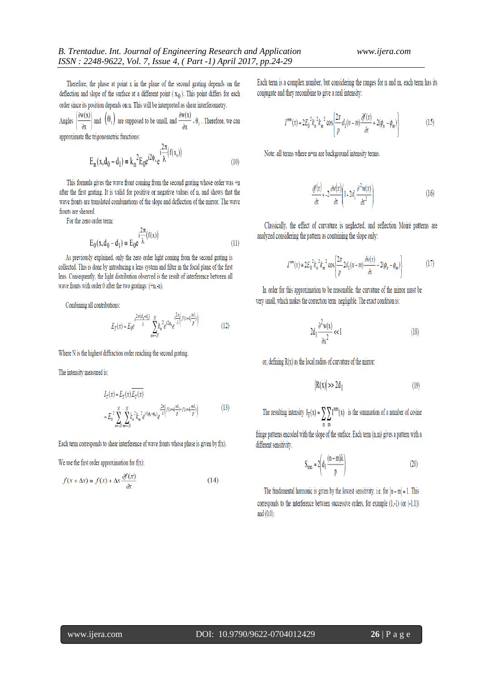Therefore, the phase at point x in the plane of the second grating depends on the deflection and slope of the surface at a different point  $(x_0)$ . This point differs for each order since its position depends on n. This will be interpreted as shear interferometry.

 $\left(\frac{\partial w(x)}{\partial x}\right)$  and  $\left(\theta_1\right)$  are supposed to be small, and  $\frac{\partial w(x)}{\partial x} \cdot \theta_1$ . Therefore, we can Angles approximate the trigonometric functions:

$$
E_n(x, d_0 - d_1) \approx k_n^2 E_0 e^{i2\phi_n} e^{-i\frac{2\pi}{\lambda} (f(x_0))}
$$
 (10)

This formula gives the wave front coming from the second grating whose order was  $+n$ after the first grating. It is valid for positive or negative values of n, and shows that the wave fronts are translated combinations of the slope and deflection of the mirror. The wave fronts are sheared.

For the zero order term:

$$
E_0(x, d_0 - d_1) \approx E_0 e^{\frac{i^2 \pi}{\lambda} (f(x))}
$$
\n(11)

As previously explained, only the zero order light coming from the second grating is collected. This is done by introducing a lens system and filter in the focal plane of the first lens. Consequently, the light distribution observed is the result of interference between all wave fronts with order 0 after the two gratings:  $(+n, n)$ .

Combining all contributions:

$$
E_T(x) = E_0 e^{-\frac{t^{2\pi(d_0 + d_1)}}{\lambda}} \sum_{n = -N}^{N} k_n^{-2} e^{t^2 \phi_n} e^{-\frac{t^{2\pi}{\lambda} \left( f(x + d_1 \frac{n\lambda}{p}) \right)}} \tag{12}
$$

Where N is the highest diffraction order reaching the second grating.

The intensity measured is:

$$
I_T(x) = E_T(x) E_T(x)
$$
  
= 
$$
E_0^2 \sum_{n=-N}^N \sum_{m=-N}^N k_n^2 k_m^2 e^{i2(\phi_n - \phi_n)} e^{\frac{i2\pi}{\lambda} \left( f(x + a_1 \frac{m\lambda}{p}) - f(x + a_1 \frac{m\lambda}{p}) \right)}
$$
(13)

Each term corresponds to shear interference of wave fronts whose phase is given by  $f(x)$ .

We use the first order approximation for  $f(x)$ :

$$
f(x + \Delta x) \approx f(x) + \Delta x \frac{\partial f(x)}{\partial x}
$$
 (14)

Each term is a complex number, but considering the ranges for n and m, each term has its conjugate and they recombine to give a real intensity:

$$
I^{mm}(x) = 2E_0^2 k_n^2 k_m^2 \cos\left\{\frac{2\pi}{p} d_1(n-m)\frac{\partial f(x)}{\partial x} + 2(\phi_n - \phi_m)\right\}
$$
 (15)

Note: all terms where n=m are background intensity terms.

$$
\frac{\partial^{2}(x)}{\partial x} \approx -2 \frac{\partial v(x)}{\partial x} \left( 1 + 2d_{1} \frac{\partial^{2} v(x)}{\partial x^{2}} \right)
$$
\n(16)

Classically, the effect of curvature is neglected, and reflection Moiré patterns are analyzed considering the pattern as containing the slope only:

$$
I^{nm}(x) \approx 2E_0^2 k_n^2 k_m^2 \cos\left(\frac{2\pi}{p} 2d_1(n-m)\frac{\partial n(x)}{\partial x} - 2(\phi_n - \phi_m)\right)
$$
(17)

In order for this approximation to be reasonable, the curvature of the mirror must be very small, which makes the correction term negligible. The exact condition is:

$$
2d_1 \frac{\partial^2 w(x)}{\partial x^2} < 1 \tag{18}
$$

or, defining  $R(x)$  as the local radius of curvature of the mirror:

$$
R(x) \gg 2d_1 \tag{19}
$$

The resulting intensity  $I_T(x) = \sum \sum I^{nm}(x)$  is the summation of a number of cosine

fringe patterns encoded with the slope of the surface. Each term (n,m) gives a pattern with a different sensitivity.

$$
S_{mn} = 2\left(d_1 \frac{(n-m)\lambda}{p}\right) \tag{20}
$$

The fundamental harmonic is given by the lowest sensitivity, i.e. for  $|n-m|=1$ . This corresponds to the interference between successive orders, for example  $(1,-1)$  (or  $(-1,1)$ ) and  $(0.0)$ :